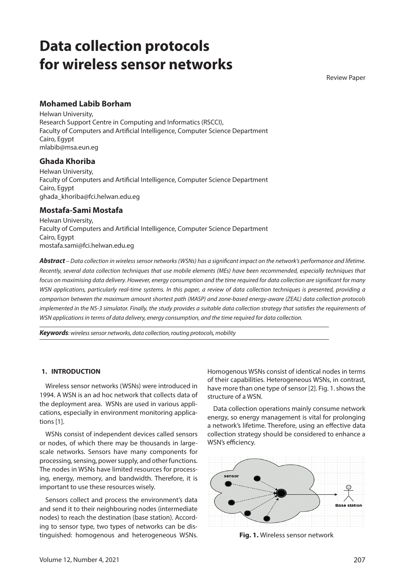# **Data collection protocols for wireless sensor networks**

Review Paper

# **Mohamed Labib Borham**

Helwan University, Research Support Centre in Computing and Informatics (RSCCI), Faculty of Computers and Artificial Intelligence, Computer Science Department Cairo, Egypt mlabib@msa.eun.eg

# **Ghada Khoriba**

Helwan University, Faculty of Computers and Artificial Intelligence, Computer Science Department Cairo, Egypt ghada\_khoriba@fci.helwan.edu.eg

## **Mostafa-Sami Mostafa**

Helwan University, Faculty of Computers and Artificial Intelligence, Computer Science Department Cairo, Egypt mostafa.sami@fci.helwan.edu.eg

*Abstract – Data collection in wireless sensor networks (WSNs) has a significant impact on the network's performance and lifetime. Recently, several data collection techniques that use mobile elements (MEs) have been recommended, especially techniques that focus on maximising data delivery. However, energy consumption and the time required for data collection are significant for many WSN applications, particularly real-time systems. In this paper, a review of data collection techniques is presented, providing a comparison between the maximum amount shortest path (MASP) and zone-based energy-aware (ZEAL) data collection protocols implemented in the NS-3 simulator. Finally, the study provides a suitable data collection strategy that satisfies the requirements of WSN applications in terms of data delivery, energy consumption, and the time required for data collection.*

*Keywords: wireless sensor networks, data collection, routing protocols, mobility*

## **1. INTRODUCTION**

Wireless sensor networks (WSNs) were introduced in 1994. A WSN is an ad hoc network that collects data of the deployment area. WSNs are used in various applications, especially in environment monitoring applications [1].

WSNs consist of independent devices called sensors or nodes, of which there may be thousands in largescale networks. Sensors have many components for processing, sensing, power supply, and other functions. The nodes in WSNs have limited resources for processing, energy, memory, and bandwidth. Therefore, it is important to use these resources wisely.

Sensors collect and process the environment's data and send it to their neighbouring nodes (intermediate nodes) to reach the destination (base station). According to sensor type, two types of networks can be distinguished: homogenous and heterogeneous WSNs.

Homogenous WSNs consist of identical nodes in terms of their capabilities. Heterogeneous WSNs, in contrast, have more than one type of sensor [2]. Fig. 1. shows the structure of a WSN.

Data collection operations mainly consume network energy, so energy management is vital for prolonging a network's lifetime. Therefore, using an effective data collection strategy should be considered to enhance a WSN's efficiency.



**Fig. 1.** Wireless sensor network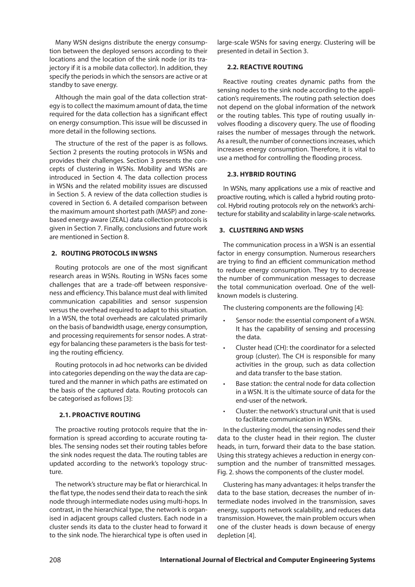Many WSN designs distribute the energy consumption between the deployed sensors according to their locations and the location of the sink node (or its trajectory if it is a mobile data collector). In addition, they specify the periods in which the sensors are active or at standby to save energy.

Although the main goal of the data collection strategy is to collect the maximum amount of data, the time required for the data collection has a significant effect on energy consumption. This issue will be discussed in more detail in the following sections.

The structure of the rest of the paper is as follows. Section 2 presents the routing protocols in WSNs and provides their challenges. Section 3 presents the concepts of clustering in WSNs. Mobility and WSNs are introduced in Section 4. The data collection process in WSNs and the related mobility issues are discussed in Section 5. A review of the data collection studies is covered in Section 6. A detailed comparison between the maximum amount shortest path (MASP) and zonebased energy-aware (ZEAL) data collection protocols is given in Section 7. Finally, conclusions and future work are mentioned in Section 8.

## **2. ROUTING PROTOCOLS IN WSNS**

Routing protocols are one of the most significant research areas in WSNs. Routing in WSNs faces some challenges that are a trade-off between responsiveness and efficiency. This balance must deal with limited communication capabilities and sensor suspension versus the overhead required to adapt to this situation. In a WSN, the total overheads are calculated primarily on the basis of bandwidth usage, energy consumption, and processing requirements for sensor nodes. A strategy for balancing these parameters is the basis for testing the routing efficiency.

Routing protocols in ad hoc networks can be divided into categories depending on the way the data are captured and the manner in which paths are estimated on the basis of the captured data. Routing protocols can be categorised as follows [3]:

## **2.1. Proactive routing**

The proactive routing protocols require that the information is spread according to accurate routing tables. The sensing nodes set their routing tables before the sink nodes request the data. The routing tables are updated according to the network's topology structure.

The network's structure may be flat or hierarchical. In the flat type, the nodes send their data to reach the sink node through intermediate nodes using multi-hops. In contrast, in the hierarchical type, the network is organised in adjacent groups called clusters. Each node in a cluster sends its data to the cluster head to forward it to the sink node. The hierarchical type is often used in

large-scale WSNs for saving energy. Clustering will be presented in detail in Section 3.

## **2.2. Reactive routing**

Reactive routing creates dynamic paths from the sensing nodes to the sink node according to the application's requirements. The routing path selection does not depend on the global information of the network or the routing tables. This type of routing usually involves flooding a discovery query. The use of flooding raises the number of messages through the network. As a result, the number of connections increases, which increases energy consumption. Therefore, it is vital to use a method for controlling the flooding process.

#### **2.3. Hybrid routing**

In WSNs, many applications use a mix of reactive and proactive routing, which is called a hybrid routing protocol. Hybrid routing protocols rely on the network's architecture for stability and scalability in large-scale networks.

#### **3. CLUSTERING AND WSNS**

The communication process in a WSN is an essential factor in energy consumption. Numerous researchers are trying to find an efficient communication method to reduce energy consumption. They try to decrease the number of communication messages to decrease the total communication overload. One of the wellknown models is clustering.

The clustering components are the following [4]:

- Sensor node: the essential component of a WSN. It has the capability of sensing and processing the data.
- Cluster head (CH): the coordinator for a selected group (cluster). The CH is responsible for many activities in the group, such as data collection and data transfer to the base station.
- Base station: the central node for data collection in a WSN. It is the ultimate source of data for the end-user of the network.
- Cluster: the network's structural unit that is used to facilitate communication in WSNs.

In the clustering model, the sensing nodes send their data to the cluster head in their region. The cluster heads, in turn, forward their data to the base station. Using this strategy achieves a reduction in energy consumption and the number of transmitted messages. Fig. 2. shows the components of the cluster model.

Clustering has many advantages: it helps transfer the data to the base station, decreases the number of intermediate nodes involved in the transmission, saves energy, supports network scalability, and reduces data transmission. However, the main problem occurs when one of the cluster heads is down because of energy depletion [4].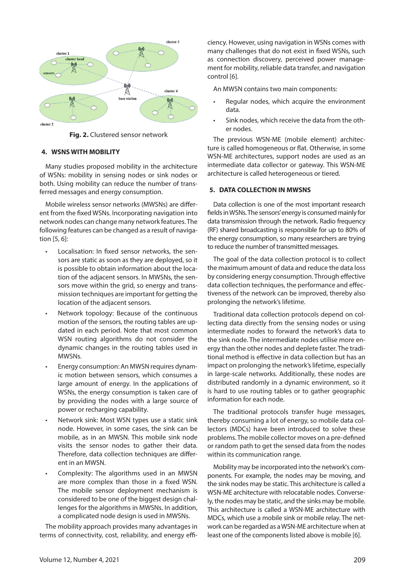

**Fig. 2.** Clustered sensor network

## **4. WSNS WITH MOBILITY**

Many studies proposed mobility in the architecture of WSNs: mobility in sensing nodes or sink nodes or both. Using mobility can reduce the number of transferred messages and energy consumption.

Mobile wireless sensor networks (MWSNs) are different from the fixed WSNs. Incorporating navigation into network nodes can change many network features. The following features can be changed as a result of navigation [5, 6]:

- Localisation: In fixed sensor networks, the sensors are static as soon as they are deployed, so it is possible to obtain information about the location of the adjacent sensors. In MWSNs, the sensors move within the grid, so energy and transmission techniques are important for getting the location of the adjacent sensors.
- Network topology: Because of the continuous motion of the sensors, the routing tables are updated in each period. Note that most common WSN routing algorithms do not consider the dynamic changes in the routing tables used in MWSNs.
- Energy consumption: An MWSN requires dynamic motion between sensors, which consumes a large amount of energy. In the applications of WSNs, the energy consumption is taken care of by providing the nodes with a large source of power or recharging capability.
- Network sink: Most WSN types use a static sink node. However, in some cases, the sink can be mobile, as in an MWSN. This mobile sink node visits the sensor nodes to gather their data. Therefore, data collection techniques are different in an MWSN.
- Complexity: The algorithms used in an MWSN are more complex than those in a fixed WSN. The mobile sensor deployment mechanism is considered to be one of the biggest design challenges for the algorithms in MWSNs. In addition, a complicated node design is used in MWSNs.

The mobility approach provides many advantages in terms of connectivity, cost, reliability, and energy effi-

ciency. However, using navigation in WSNs comes with many challenges that do not exist in fixed WSNs, such as connection discovery, perceived power management for mobility, reliable data transfer, and navigation control [6].

An MWSN contains two main components:

- Regular nodes, which acquire the environment data.
- Sink nodes, which receive the data from the other nodes.

The previous WSN-ME (mobile element) architecture is called homogeneous or flat. Otherwise, in some WSN-ME architectures, support nodes are used as an intermediate data collector or gateway. This WSN-ME architecture is called heterogeneous or tiered.

## **5. DATA COLLECTION IN MWSNS**

Data collection is one of the most important research fields in WSNs. The sensors' energy is consumed mainly for data transmission through the network. Radio frequency (RF) shared broadcasting is responsible for up to 80% of the energy consumption, so many researchers are trying to reduce the number of transmitted messages.

The goal of the data collection protocol is to collect the maximum amount of data and reduce the data loss by considering energy consumption. Through effective data collection techniques, the performance and effectiveness of the network can be improved, thereby also prolonging the network's lifetime.

Traditional data collection protocols depend on collecting data directly from the sensing nodes or using intermediate nodes to forward the network's data to the sink node. The intermediate nodes utilise more energy than the other nodes and deplete faster. The traditional method is effective in data collection but has an impact on prolonging the network's lifetime, especially in large-scale networks. Additionally, these nodes are distributed randomly in a dynamic environment, so it is hard to use routing tables or to gather geographic information for each node.

The traditional protocols transfer huge messages, thereby consuming a lot of energy, so mobile data collectors (MDCs) have been introduced to solve these problems. The mobile collector moves on a pre-defined or random path to get the sensed data from the nodes within its communication range.

Mobility may be incorporated into the network's components. For example, the nodes may be moving, and the sink nodes may be static. This architecture is called a WSN-ME architecture with relocatable nodes. Conversely, the nodes may be static, and the sinks may be mobile. This architecture is called a WSN-ME architecture with MDCs, which use a mobile sink or mobile relay. The network can be regarded as a WSN-ME architecture when at least one of the components listed above is mobile [6].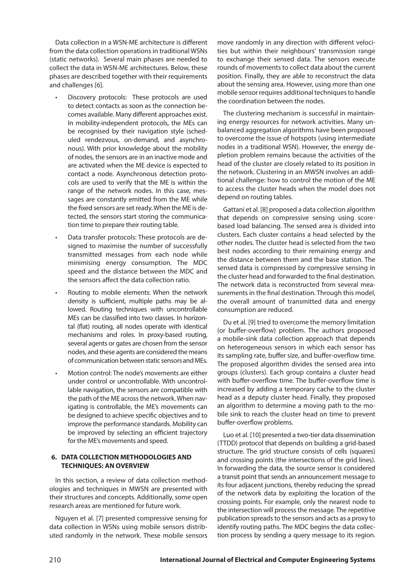Data collection in a WSN-ME architecture is different from the data collection operations in traditional WSNs (static networks). Several main phases are needed to collect the data in WSN-ME architectures. Below, these phases are described together with their requirements and challenges [6].

- Discovery protocols: These protocols are used to detect contacts as soon as the connection becomes available. Many different approaches exist. In mobility-independent protocols, the MEs can be recognised by their navigation style (scheduled rendezvous, on-demand, and asynchronous). With prior knowledge about the mobility of nodes, the sensors are in an inactive mode and are activated when the ME device is expected to contact a node. Asynchronous detection protocols are used to verify that the ME is within the range of the network nodes. In this case, messages are constantly emitted from the ME while the fixed sensors are set ready. When the ME is detected, the sensors start storing the communication time to prepare their routing table.
- Data transfer protocols: These protocols are designed to maximise the number of successfully transmitted messages from each node while minimising energy consumption. The MDC speed and the distance between the MDC and the sensors affect the data collection ratio.
- Routing to mobile elements: When the network density is sufficient, multiple paths may be allowed. Routing techniques with uncontrollable MEs can be classified into two classes. In horizontal (flat) routing, all nodes operate with identical mechanisms and roles. In proxy-based routing, several agents or gates are chosen from the sensor nodes, and these agents are considered the means of communication between static sensors and MEs.
- Motion control: The node's movements are either under control or uncontrollable. With uncontrollable navigation, the sensors are compatible with the path of the ME across the network. When navigating is controllable, the ME's movements can be designed to achieve specific objectives and to improve the performance standards. Mobility can be improved by selecting an efficient trajectory for the ME's movements and speed.

## **6. DATA COLLECTION METHODOLOGIES AND TECHNIQUES: AN OVERVIEW**

In this section, a review of data collection methodologies and techniques in MWSN are presented with their structures and concepts. Additionally, some open research areas are mentioned for future work.

Nguyen et al. [7] presented compressive sensing for data collection in WSNs using mobile sensors distributed randomly in the network. These mobile sensors move randomly in any direction with different velocities but within their neighbours' transmission range to exchange their sensed data. The sensors execute rounds of movements to collect data about the current position. Finally, they are able to reconstruct the data about the sensing area. However, using more than one mobile sensor requires additional techniques to handle the coordination between the nodes.

The clustering mechanism is successful in maintaining energy resources for network activities. Many unbalanced aggregation algorithms have been proposed to overcome the issue of hotspots (using intermediate nodes in a traditional WSN). However, the energy depletion problem remains because the activities of the head of the cluster are closely related to its position in the network. Clustering in an MWSN involves an additional challenge: how to control the motion of the ME to access the cluster heads when the model does not depend on routing tables.

Gattani et al. [8] proposed a data collection algorithm that depends on compressive sensing using scorebased load balancing. The sensed area is divided into clusters. Each cluster contains a head selected by the other nodes. The cluster head is selected from the two best nodes according to their remaining energy and the distance between them and the base station. The sensed data is compressed by compressive sensing in the cluster head and forwarded to the final destination. The network data is reconstructed from several measurements in the final destination. Through this model, the overall amount of transmitted data and energy consumption are reduced.

Du et al. [9] tried to overcome the memory limitation (or buffer-overflow) problem. The authors proposed a mobile-sink data collection approach that depends on heterogeneous sensors in which each sensor has its sampling rate, buffer size, and buffer-overflow time. The proposed algorithm divides the sensed area into groups (clusters). Each group contains a cluster head with buffer-overflow time. The buffer-overflow time is increased by adding a temporary cache to the cluster head as a deputy cluster head. Finally, they proposed an algorithm to determine a moving path to the mobile sink to reach the cluster head on time to prevent buffer-overflow problems.

Luo et al. [10] presented a two-tier data dissemination (TTDD) protocol that depends on building a grid-based structure. The grid structure consists of cells (squares) and crossing points (the intersections of the grid lines). In forwarding the data, the source sensor is considered a transit point that sends an announcement message to its four adjacent junctions, thereby reducing the spread of the network data by exploiting the location of the crossing points. For example, only the nearest node to the intersection will process the message. The repetitive publication spreads to the sensors and acts as a proxy to identify routing paths. The MDC begins the data collection process by sending a query message to its region.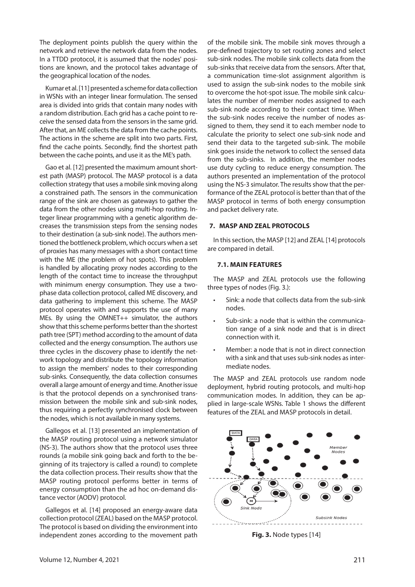The deployment points publish the query within the network and retrieve the network data from the nodes. In a TTDD protocol, it is assumed that the nodes' positions are known, and the protocol takes advantage of the geographical location of the nodes.

Kumar et al. [11] presented a scheme for data collection in WSNs with an integer linear formulation. The sensed area is divided into grids that contain many nodes with a random distribution. Each grid has a cache point to receive the sensed data from the sensors in the same grid. After that, an ME collects the data from the cache points. The actions in the scheme are split into two parts. First, find the cache points. Secondly, find the shortest path between the cache points, and use it as the ME's path.

Gao et al. [12] presented the maximum amount shortest path (MASP) protocol. The MASP protocol is a data collection strategy that uses a mobile sink moving along a constrained path. The sensors in the communication range of the sink are chosen as gateways to gather the data from the other nodes using multi-hop routing. Integer linear programming with a genetic algorithm decreases the transmission steps from the sensing nodes to their destination (a sub-sink node). The authors mentioned the bottleneck problem, which occurs when a set of proxies has many messages with a short contact time with the ME (the problem of hot spots). This problem is handled by allocating proxy nodes according to the length of the contact time to increase the throughput with minimum energy consumption. They use a twophase data collection protocol, called ME discovery, and data gathering to implement this scheme. The MASP protocol operates with and supports the use of many MEs. By using the OMNET++ simulator, the authors show that this scheme performs better than the shortest path tree (SPT) method according to the amount of data collected and the energy consumption. The authors use three cycles in the discovery phase to identify the network topology and distribute the topology information to assign the members' nodes to their corresponding sub-sinks. Consequently, the data collection consumes overall a large amount of energy and time. Another issue is that the protocol depends on a synchronised transmission between the mobile sink and sub-sink nodes, thus requiring a perfectly synchronised clock between the nodes, which is not available in many systems.

Gallegos et al. [13] presented an implementation of the MASP routing protocol using a network simulator (NS-3). The authors show that the protocol uses three rounds (a mobile sink going back and forth to the beginning of its trajectory is called a round) to complete the data collection process. Their results show that the MASP routing protocol performs better in terms of energy consumption than the ad hoc on-demand distance vector (AODV) protocol.

Gallegos et al. [14] proposed an energy-aware data collection protocol (ZEAL) based on the MASP protocol. The protocol is based on dividing the environment into independent zones according to the movement path

of the mobile sink. The mobile sink moves through a pre-defined trajectory to set routing zones and select sub-sink nodes. The mobile sink collects data from the sub-sinks that receive data from the sensors. After that, a communication time-slot assignment algorithm is used to assign the sub-sink nodes to the mobile sink to overcome the hot-spot issue. The mobile sink calculates the number of member nodes assigned to each sub-sink node according to their contact time. When the sub-sink nodes receive the number of nodes assigned to them, they send it to each member node to calculate the priority to select one sub-sink node and send their data to the targeted sub-sink. The mobile sink goes inside the network to collect the sensed data from the sub-sinks. In addition, the member nodes use duty cycling to reduce energy consumption. The authors presented an implementation of the protocol using the NS-3 simulator. The results show that the performance of the ZEAL protocol is better than that of the MASP protocol in terms of both energy consumption and packet delivery rate.

#### **7. MASP AND ZEAL PROTOCOLS**

In this section, the MASP [12] and ZEAL [14] protocols are compared in detail.

#### **7.1. Main features**

The MASP and ZEAL protocols use the following three types of nodes (Fig. 3.):

- Sink: a node that collects data from the sub-sink nodes.
- Sub-sink: a node that is within the communication range of a sink node and that is in direct connection with it.
- Member: a node that is not in direct connection with a sink and that uses sub-sink nodes as intermediate nodes.

The MASP and ZEAL protocols use random node deployment, hybrid routing protocols, and multi-hop communication modes. In addition, they can be applied in large-scale WSNs. Table 1 shows the different features of the ZEAL and MASP protocols in detail.



**Fig. 3.** Node types [14]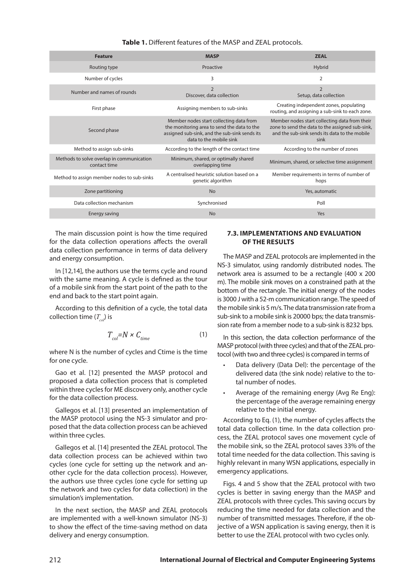| <b>Feature</b>                                            | <b>MASP</b>                                                                                                                                                        | <b>ZEAL</b>                                                                                                                                               |
|-----------------------------------------------------------|--------------------------------------------------------------------------------------------------------------------------------------------------------------------|-----------------------------------------------------------------------------------------------------------------------------------------------------------|
| Routing type                                              | Proactive                                                                                                                                                          | Hybrid                                                                                                                                                    |
| Number of cycles                                          | 3                                                                                                                                                                  | $\overline{2}$                                                                                                                                            |
| Number and names of rounds                                | $\overline{2}$<br>Discover, data collection                                                                                                                        | $\overline{2}$<br>Setup, data collection                                                                                                                  |
| First phase                                               | Assigning members to sub-sinks                                                                                                                                     | Creating independent zones, populating<br>routing, and assigning a sub-sink to each zone.                                                                 |
| Second phase                                              | Member nodes start collecting data from<br>the monitoring area to send the data to the<br>assigned sub-sink, and the sub-sink sends its<br>data to the mobile sink | Member nodes start collecting data from their<br>zone to send the data to the assigned sub-sink,<br>and the sub-sink sends its data to the mobile<br>sink |
| Method to assign sub-sinks                                | According to the length of the contact time                                                                                                                        | According to the number of zones                                                                                                                          |
| Methods to solve overlap in communication<br>contact time | Minimum, shared, or optimally shared<br>overlapping time                                                                                                           | Minimum, shared, or selective time assignment                                                                                                             |
| Method to assign member nodes to sub-sinks                | A centralised heuristic solution based on a<br>genetic algorithm                                                                                                   | Member requirements in terms of number of<br>hops                                                                                                         |
| Zone partitioning                                         | <b>No</b>                                                                                                                                                          | Yes, automatic                                                                                                                                            |
| Data collection mechanism                                 | Synchronised                                                                                                                                                       | Poll                                                                                                                                                      |
| Energy saving                                             | <b>No</b>                                                                                                                                                          | Yes                                                                                                                                                       |

## **Table 1.** Different features of the MASP and ZEAL protocols.

The main discussion point is how the time required for the data collection operations affects the overall data collection performance in terms of data delivery and energy consumption.

In [12,14], the authors use the terms cycle and round with the same meaning. A cycle is defined as the tour of a mobile sink from the start point of the path to the end and back to the start point again.

According to this definition of a cycle, the total data collection time  $(T_{co})$  is

$$
T_{col} = N \times C_{time} \tag{1}
$$

where N is the number of cycles and Ctime is the time for one cycle.

Gao et al. [12] presented the MASP protocol and proposed a data collection process that is completed within three cycles for ME discovery only, another cycle for the data collection process.

Gallegos et al. [13] presented an implementation of the MASP protocol using the NS-3 simulator and proposed that the data collection process can be achieved within three cycles.

Gallegos et al. [14] presented the ZEAL protocol. The data collection process can be achieved within two cycles (one cycle for setting up the network and another cycle for the data collection process). However, the authors use three cycles (one cycle for setting up the network and two cycles for data collection) in the simulation's implementation.

In the next section, the MASP and ZEAL protocols are implemented with a well-known simulator (NS-3) to show the effect of the time-saving method on data delivery and energy consumption.

#### **7.3. Implementations and evaluation of the results**

The MASP and ZEAL protocols are implemented in the NS-3 simulator, using randomly distributed nodes. The network area is assumed to be a rectangle (400 x 200 m). The mobile sink moves on a constrained path at the bottom of the rectangle. The initial energy of the nodes is 3000 J with a 52-m communication range. The speed of the mobile sink is 5 m/s. The data transmission rate from a sub-sink to a mobile sink is 20000 bps; the data transmission rate from a member node to a sub-sink is 8232 bps.

In this section, the data collection performance of the MASP protocol (with three cycles) and that of the ZEAL protocol (with two and three cycles) is compared in terms of

- Data delivery (Data Del): the percentage of the delivered data (the sink node) relative to the total number of nodes.
- Average of the remaining energy (Avg Re Eng): the percentage of the average remaining energy relative to the initial energy.

According to Eq. (1), the number of cycles affects the total data collection time. In the data collection process, the ZEAL protocol saves one movement cycle of the mobile sink, so the ZEAL protocol saves 33% of the total time needed for the data collection. This saving is highly relevant in many WSN applications, especially in emergency applications.

Figs. 4 and 5 show that the ZEAL protocol with two cycles is better in saving energy than the MASP and ZEAL protocols with three cycles. This saving occurs by reducing the time needed for data collection and the number of transmitted messages. Therefore, if the objective of a WSN application is saving energy, then it is better to use the ZEAL protocol with two cycles only.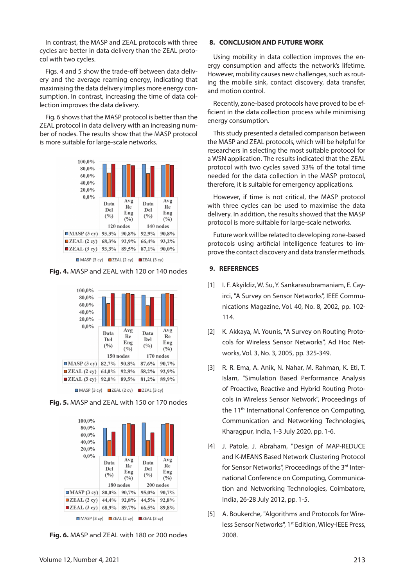In contrast, the MASP and ZEAL protocols with three cycles are better in data delivery than the ZEAL protocol with two cycles.

Figs. 4 and 5 show the trade-off between data delivery and the average reaming energy, indicating that maximising the data delivery implies more energy consumption. In contrast, increasing the time of data collection improves the data delivery.

Fig. 6 shows that the MASP protocol is better than the ZEAL protocol in data delivery with an increasing number of nodes. The results show that the MASP protocol is more suitable for large-scale networks.



 $\Box$  MASP (3 cy)  $\Box$  ZEAL (2 cy)  $\Box$  ZEAL (3 cy)

**Fig. 4.** MASP and ZEAL with 120 or 140 nodes



**Fig. 5.** MASP and ZEAL with 150 or 170 nodes



**Fig. 6.** MASP and ZEAL with 180 or 200 nodes

#### **8. CONCLUSION AND FUTURE WORK**

Using mobility in data collection improves the energy consumption and affects the network's lifetime. However, mobility causes new challenges, such as routing the mobile sink, contact discovery, data transfer, and motion control.

Recently, zone-based protocols have proved to be efficient in the data collection process while minimising energy consumption.

This study presented a detailed comparison between the MASP and ZEAL protocols, which will be helpful for researchers in selecting the most suitable protocol for a WSN application. The results indicated that the ZEAL protocol with two cycles saved 33% of the total time needed for the data collection in the MASP protocol, therefore, it is suitable for emergency applications.

However, if time is not critical, the MASP protocol with three cycles can be used to maximise the data delivery. In addition, the results showed that the MASP protocol is more suitable for large-scale networks.

Future work will be related to developing zone-based protocols using artificial intelligence features to improve the contact discovery and data transfer methods.

#### **9. REFERENCES**

- [1] I. F. Akyildiz, W. Su, Y. Sankarasubramaniam, E. Cayirci, "A Survey on Sensor Networks", IEEE Communications Magazine, Vol. 40, No. 8, 2002, pp. 102- 114.
- [2] K. Akkaya, M. Younis, "A Survey on Routing Protocols for Wireless Sensor Networks", Ad Hoc Networks, Vol. 3, No. 3, 2005, pp. 325-349.
- [3] R. R. Ema, A. Anik, N. Nahar, M. Rahman, K. Eti, T. Islam, "Simulation Based Performance Analysis of Proactive, Reactive and Hybrid Routing Protocols in Wireless Sensor Network", Proceedings of the 11<sup>th</sup> International Conference on Computing, Communication and Networking Technologies, Kharagpur, India, 1-3 July 2020, pp. 1-6.
- [4] J. Patole, J. Abraham, "Design of MAP-REDUCE and K-MEANS Based Network Clustering Protocol for Sensor Networks", Proceedings of the 3<sup>rd</sup> International Conference on Computing, Communication and Networking Technologies, Coimbatore, India, 26-28 July 2012, pp. 1-5.
- [5] A. Boukerche, "Algorithms and Protocols for Wireless Sensor Networks", 1<sup>st</sup> Edition, Wiley-IEEE Press, 2008.